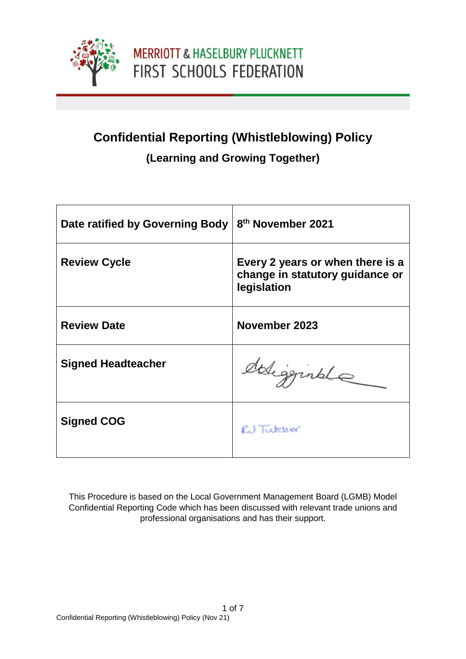

# **Confidential Reporting (Whistleblowing) Policy**

### **(Learning and Growing Together)**

| Date ratified by Governing Body | 8 <sup>th</sup> November 2021                                                      |
|---------------------------------|------------------------------------------------------------------------------------|
| <b>Review Cycle</b>             | Every 2 years or when there is a<br>change in statutory guidance or<br>legislation |
| <b>Review Date</b>              | November 2023                                                                      |
| <b>Signed Headteacher</b>       | deligginale                                                                        |
| <b>Signed COG</b>               | RU Tutcher                                                                         |

This Procedure is based on the Local Government Management Board (LGMB) Model Confidential Reporting Code which has been discussed with relevant trade unions and professional organisations and has their support.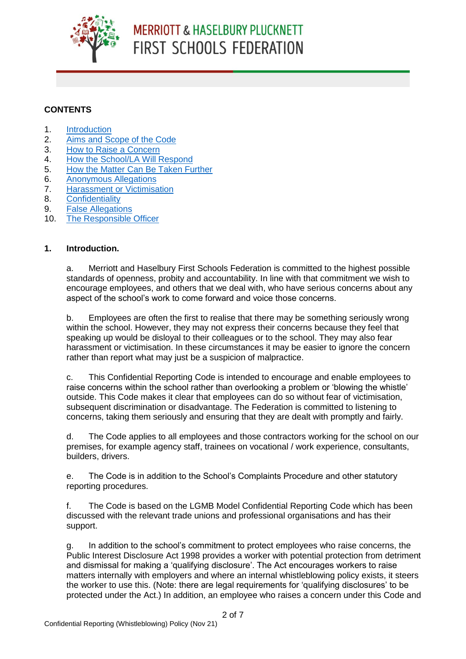

## **MERRIOTT & HASELBURY PLUCKNETT FIRST SCHOOLS FEDERATION**

#### **CONTENTS**

- 1. [Introduction](#page-1-0)
- 2. [Aims and Scope of the Code](#page-2-0)
- 3. [How to Raise a Concern](#page-3-0)
- 4. [How the School/LA Will Respond](#page-4-0)
- 5. How the Matter [Can Be Taken Further](#page-5-0)
- 6. [Anonymous Allegations](#page-5-1)
- 7. [Harassment or Victimisation](#page-6-0)
- 8. [Confidentiality](#page-6-1)
- 9. [False Allegations](#page-6-2)
- 10. [The Responsible Officer](#page-6-3)

#### **1. Introduction.**

<span id="page-1-0"></span>a. Merriott and Haselbury First Schools Federation is committed to the highest possible standards of openness, probity and accountability. In line with that commitment we wish to encourage employees, and others that we deal with, who have serious concerns about any aspect of the school's work to come forward and voice those concerns.

b. Employees are often the first to realise that there may be something seriously wrong within the school. However, they may not express their concerns because they feel that speaking up would be disloyal to their colleagues or to the school. They may also fear harassment or victimisation. In these circumstances it may be easier to ignore the concern rather than report what may just be a suspicion of malpractice.

c. This Confidential Reporting Code is intended to encourage and enable employees to raise concerns within the school rather than overlooking a problem or 'blowing the whistle' outside. This Code makes it clear that employees can do so without fear of victimisation, subsequent discrimination or disadvantage. The Federation is committed to listening to concerns, taking them seriously and ensuring that they are dealt with promptly and fairly.

d. The Code applies to all employees and those contractors working for the school on our premises, for example agency staff, trainees on vocational / work experience, consultants, builders, drivers.

e. The Code is in addition to the School's Complaints Procedure and other statutory reporting procedures.

f. The Code is based on the LGMB Model Confidential Reporting Code which has been discussed with the relevant trade unions and professional organisations and has their support.

g. In addition to the school's commitment to protect employees who raise concerns, the Public Interest Disclosure Act 1998 provides a worker with potential protection from detriment and dismissal for making a 'qualifying disclosure'. The Act encourages workers to raise matters internally with employers and where an internal whistleblowing policy exists, it steers the worker to use this. (Note: there are legal requirements for 'qualifying disclosures' to be protected under the Act.) In addition, an employee who raises a concern under this Code and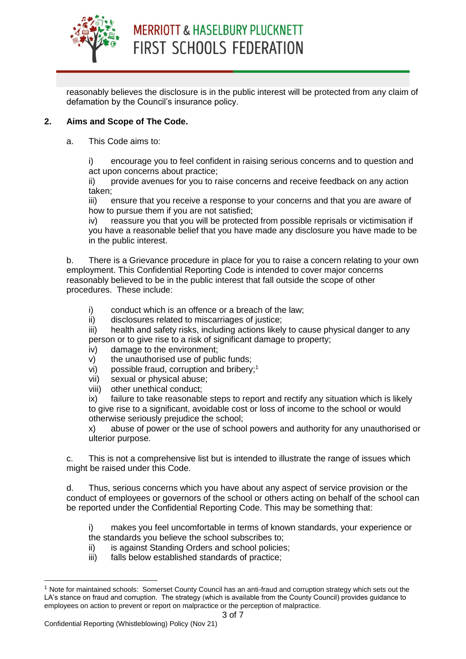

reasonably believes the disclosure is in the public interest will be protected from any claim of defamation by the Council's insurance policy.

#### **2. Aims and Scope of The Code.**

<span id="page-2-0"></span>a. This Code aims to:

i) encourage you to feel confident in raising serious concerns and to question and act upon concerns about practice;

ii) provide avenues for you to raise concerns and receive feedback on any action taken;

iii) ensure that you receive a response to your concerns and that you are aware of how to pursue them if you are not satisfied;

iv) reassure you that you will be protected from possible reprisals or victimisation if you have a reasonable belief that you have made any disclosure you have made to be in the public interest.

b. There is a Grievance procedure in place for you to raise a concern relating to your own employment. This Confidential Reporting Code is intended to cover major concerns reasonably believed to be in the public interest that fall outside the scope of other procedures. These include:

i) conduct which is an offence or a breach of the law;

ii) disclosures related to miscarriages of justice;

iii) health and safety risks, including actions likely to cause physical danger to any person or to give rise to a risk of significant damage to property;

- iv) damage to the environment;
- v) the unauthorised use of public funds;
- vi) possible fraud, corruption and bribery;<sup>1</sup>
- vii) sexual or physical abuse;
- viii) other unethical conduct;

ix) failure to take reasonable steps to report and rectify any situation which is likely to give rise to a significant, avoidable cost or loss of income to the school or would otherwise seriously prejudice the school;

x) abuse of power or the use of school powers and authority for any unauthorised or ulterior purpose.

c. This is not a comprehensive list but is intended to illustrate the range of issues which might be raised under this Code.

d. Thus, serious concerns which you have about any aspect of service provision or the conduct of employees or governors of the school or others acting on behalf of the school can be reported under the Confidential Reporting Code. This may be something that:

i) makes you feel uncomfortable in terms of known standards, your experience or the standards you believe the school subscribes to;

- ii) is against Standing Orders and school policies;
- iii) falls below established standards of practice;

-

<sup>1</sup> Note for maintained schools: Somerset County Council has an anti-fraud and corruption strategy which sets out the LA's stance on fraud and corruption. The strategy (which is available from the County Council) provides guidance to employees on action to prevent or report on malpractice or the perception of malpractice.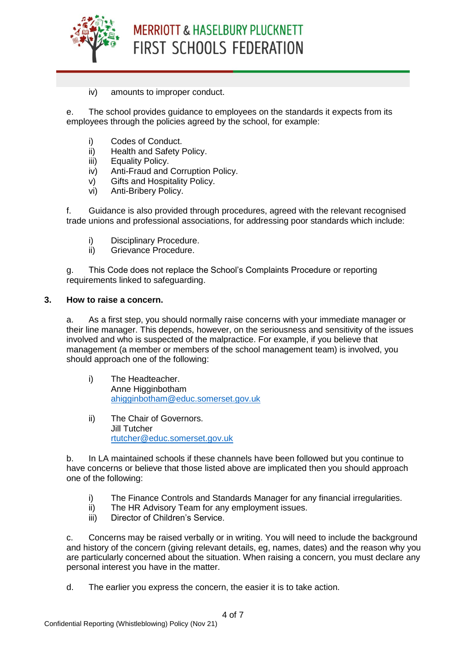

iv) amounts to improper conduct.

e. The school provides guidance to employees on the standards it expects from its employees through the policies agreed by the school, for example:

- i) Codes of Conduct.
- ii) Health and Safety Policy.
- iii) Equality Policy.
- iv) Anti-Fraud and Corruption Policy.
- v) Gifts and Hospitality Policy.
- vi) Anti-Bribery Policy.

f. Guidance is also provided through procedures, agreed with the relevant recognised trade unions and professional associations, for addressing poor standards which include:

- i) Disciplinary Procedure.
- ii) Grievance Procedure.

g. This Code does not replace the School's Complaints Procedure or reporting requirements linked to safeguarding.

#### **3. How to raise a concern.**

<span id="page-3-0"></span>a. As a first step, you should normally raise concerns with your immediate manager or their line manager. This depends, however, on the seriousness and sensitivity of the issues involved and who is suspected of the malpractice. For example, if you believe that management (a member or members of the school management team) is involved, you should approach one of the following:

- i) The Headteacher. Anne Higginbotham [ahigginbotham@educ.somerset.gov.uk](mailto:ahigginbotham@educ.somerset.gov.uk)
- ii) The Chair of Governors. Jill Tutcher [rtutcher@educ.somerset.gov.uk](mailto:rtutcher@educ.somerset.gov.uk)

b. In LA maintained schools if these channels have been followed but you continue to have concerns or believe that those listed above are implicated then you should approach one of the following:

- i) The Finance Controls and Standards Manager for any financial irregularities.
- ii) The HR Advisory Team for any employment issues.
- iii) Director of Children's Service.

c. Concerns may be raised verbally or in writing. You will need to include the background and history of the concern (giving relevant details, eg, names, dates) and the reason why you are particularly concerned about the situation. When raising a concern, you must declare any personal interest you have in the matter.

d. The earlier you express the concern, the easier it is to take action.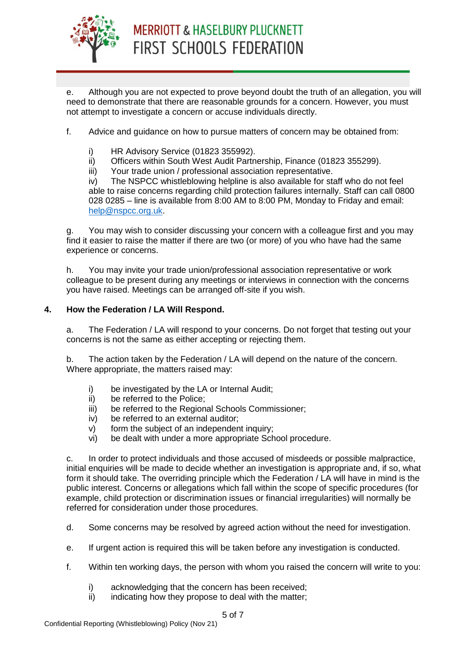

e. Although you are not expected to prove beyond doubt the truth of an allegation, you will need to demonstrate that there are reasonable grounds for a concern. However, you must not attempt to investigate a concern or accuse individuals directly.

f. Advice and guidance on how to pursue matters of concern may be obtained from:

- i) HR Advisory Service (01823 355992).
- ii) Officers within South West Audit Partnership, Finance (01823 355299).
- iii) Your trade union / professional association representative.

iv) The NSPCC whistleblowing helpline is also available for staff who do not feel able to raise concerns regarding child protection failures internally. Staff can call 0800 028 0285 – line is available from 8:00 AM to 8:00 PM, Monday to Friday and email: [help@nspcc.org.uk.](mailto:help@nspcc.org.uk)

g. You may wish to consider discussing your concern with a colleague first and you may find it easier to raise the matter if there are two (or more) of you who have had the same experience or concerns.

h. You may invite your trade union/professional association representative or work colleague to be present during any meetings or interviews in connection with the concerns you have raised. Meetings can be arranged off-site if you wish.

#### <span id="page-4-0"></span>**4. How the Federation / LA Will Respond.**

a. The Federation / LA will respond to your concerns. Do not forget that testing out your concerns is not the same as either accepting or rejecting them.

b. The action taken by the Federation / LA will depend on the nature of the concern. Where appropriate, the matters raised may:

- i) be investigated by the LA or Internal Audit;
- ii) be referred to the Police;
- iii) be referred to the Regional Schools Commissioner;
- iv) be referred to an external auditor;
- v) form the subject of an independent inquiry;
- vi) be dealt with under a more appropriate School procedure.

c. In order to protect individuals and those accused of misdeeds or possible malpractice, initial enquiries will be made to decide whether an investigation is appropriate and, if so, what form it should take. The overriding principle which the Federation / LA will have in mind is the public interest. Concerns or allegations which fall within the scope of specific procedures (for example, child protection or discrimination issues or financial irregularities) will normally be referred for consideration under those procedures.

- d. Some concerns may be resolved by agreed action without the need for investigation.
- e. If urgent action is required this will be taken before any investigation is conducted.
- f. Within ten working days, the person with whom you raised the concern will write to you:
	- i) acknowledging that the concern has been received;
	- $\overline{ii}$  indicating how they propose to deal with the matter;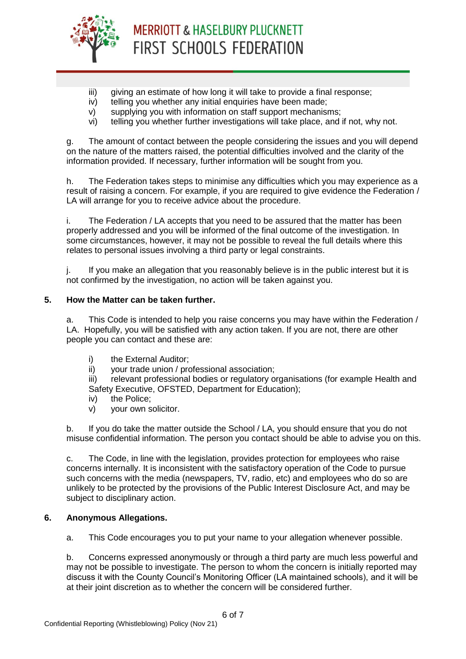

- iii) giving an estimate of how long it will take to provide a final response;
- iv) telling you whether any initial enquiries have been made;
- v) supplying you with information on staff support mechanisms;
- vi) telling you whether further investigations will take place, and if not, why not.

g. The amount of contact between the people considering the issues and you will depend on the nature of the matters raised, the potential difficulties involved and the clarity of the information provided. If necessary, further information will be sought from you.

h. The Federation takes steps to minimise any difficulties which you may experience as a result of raising a concern. For example, if you are required to give evidence the Federation / LA will arrange for you to receive advice about the procedure.

i. The Federation / LA accepts that you need to be assured that the matter has been properly addressed and you will be informed of the final outcome of the investigation. In some circumstances, however, it may not be possible to reveal the full details where this relates to personal issues involving a third party or legal constraints.

j. If you make an allegation that you reasonably believe is in the public interest but it is not confirmed by the investigation, no action will be taken against you.

#### <span id="page-5-0"></span>**5. How the Matter can be taken further.**

a. This Code is intended to help you raise concerns you may have within the Federation / LA. Hopefully, you will be satisfied with any action taken. If you are not, there are other people you can contact and these are:

- i) the External Auditor:
- ii) vour trade union / professional association:

iii) relevant professional bodies or regulatory organisations (for example Health and Safety Executive, OFSTED, Department for Education);

- iv) the Police;
- v) your own solicitor.

b. If you do take the matter outside the School / LA, you should ensure that you do not misuse confidential information. The person you contact should be able to advise you on this.

c. The Code, in line with the legislation, provides protection for employees who raise concerns internally. It is inconsistent with the satisfactory operation of the Code to pursue such concerns with the media (newspapers, TV, radio, etc) and employees who do so are unlikely to be protected by the provisions of the Public Interest Disclosure Act, and may be subject to disciplinary action.

#### **6. Anonymous Allegations.**

<span id="page-5-1"></span>a. This Code encourages you to put your name to your allegation whenever possible.

b. Concerns expressed anonymously or through a third party are much less powerful and may not be possible to investigate. The person to whom the concern is initially reported may discuss it with the County Council's Monitoring Officer (LA maintained schools), and it will be at their joint discretion as to whether the concern will be considered further.